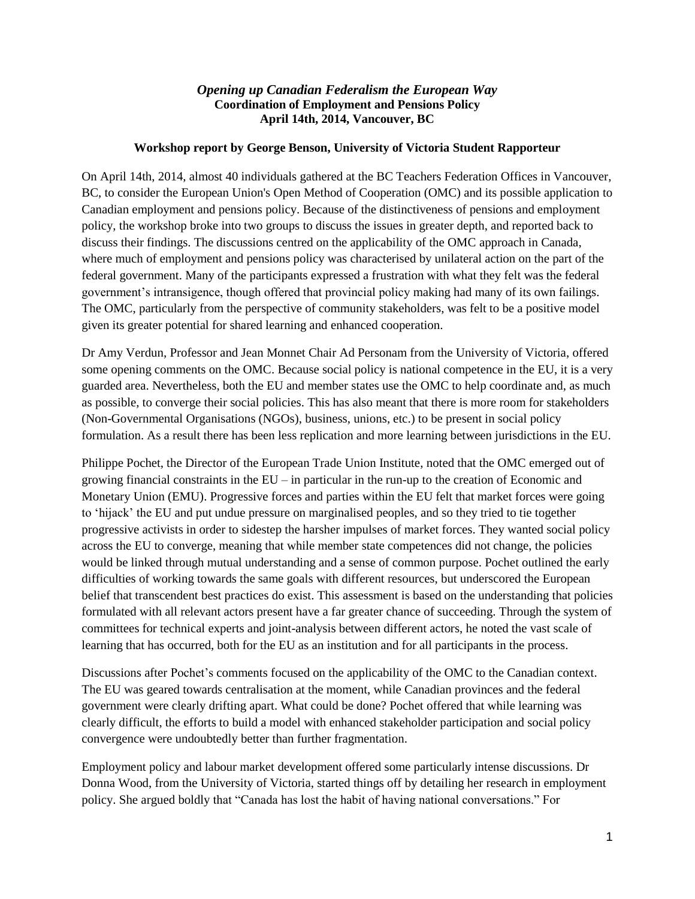## *Opening up Canadian Federalism the European Way* **Coordination of Employment and Pensions Policy April 14th, 2014, Vancouver, BC**

## **Workshop report by George Benson, University of Victoria Student Rapporteur**

On April 14th, 2014, almost 40 individuals gathered at the BC Teachers Federation Offices in Vancouver, BC, to consider the European Union's Open Method of Cooperation (OMC) and its possible application to Canadian employment and pensions policy. Because of the distinctiveness of pensions and employment policy, the workshop broke into two groups to discuss the issues in greater depth, and reported back to discuss their findings. The discussions centred on the applicability of the OMC approach in Canada, where much of employment and pensions policy was characterised by unilateral action on the part of the federal government. Many of the participants expressed a frustration with what they felt was the federal government's intransigence, though offered that provincial policy making had many of its own failings. The OMC, particularly from the perspective of community stakeholders, was felt to be a positive model given its greater potential for shared learning and enhanced cooperation.

Dr Amy Verdun, Professor and Jean Monnet Chair Ad Personam from the University of Victoria, offered some opening comments on the OMC. Because social policy is national competence in the EU, it is a very guarded area. Nevertheless, both the EU and member states use the OMC to help coordinate and, as much as possible, to converge their social policies. This has also meant that there is more room for stakeholders (Non-Governmental Organisations (NGOs), business, unions, etc.) to be present in social policy formulation. As a result there has been less replication and more learning between jurisdictions in the EU.

Philippe Pochet, the Director of the European Trade Union Institute, noted that the OMC emerged out of growing financial constraints in the  $EU$  – in particular in the run-up to the creation of Economic and Monetary Union (EMU). Progressive forces and parties within the EU felt that market forces were going to 'hijack' the EU and put undue pressure on marginalised peoples, and so they tried to tie together progressive activists in order to sidestep the harsher impulses of market forces. They wanted social policy across the EU to converge, meaning that while member state competences did not change, the policies would be linked through mutual understanding and a sense of common purpose. Pochet outlined the early difficulties of working towards the same goals with different resources, but underscored the European belief that transcendent best practices do exist. This assessment is based on the understanding that policies formulated with all relevant actors present have a far greater chance of succeeding. Through the system of committees for technical experts and joint-analysis between different actors, he noted the vast scale of learning that has occurred, both for the EU as an institution and for all participants in the process.

Discussions after Pochet's comments focused on the applicability of the OMC to the Canadian context. The EU was geared towards centralisation at the moment, while Canadian provinces and the federal government were clearly drifting apart. What could be done? Pochet offered that while learning was clearly difficult, the efforts to build a model with enhanced stakeholder participation and social policy convergence were undoubtedly better than further fragmentation.

Employment policy and labour market development offered some particularly intense discussions. Dr Donna Wood, from the University of Victoria, started things off by detailing her research in employment policy. She argued boldly that "Canada has lost the habit of having national conversations." For